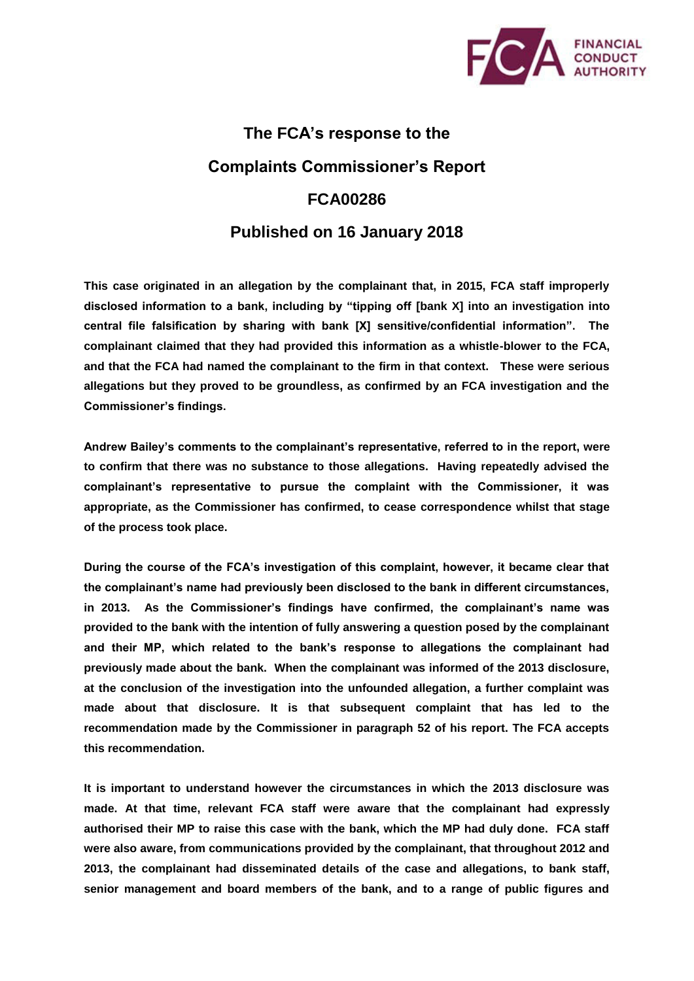

## **The FCA's response to the Complaints Commissioner's Report FCA00286 Published on 16 January 2018**

**This case originated in an allegation by the complainant that, in 2015, FCA staff improperly disclosed information to a bank, including by "tipping off [bank X] into an investigation into central file falsification by sharing with bank [X] sensitive/confidential information". The complainant claimed that they had provided this information as a whistle-blower to the FCA, and that the FCA had named the complainant to the firm in that context. These were serious allegations but they proved to be groundless, as confirmed by an FCA investigation and the Commissioner's findings.** 

**Andrew Bailey's comments to the complainant's representative, referred to in the report, were to confirm that there was no substance to those allegations. Having repeatedly advised the complainant's representative to pursue the complaint with the Commissioner, it was appropriate, as the Commissioner has confirmed, to cease correspondence whilst that stage of the process took place.**

**During the course of the FCA's investigation of this complaint, however, it became clear that the complainant's name had previously been disclosed to the bank in different circumstances, in 2013. As the Commissioner's findings have confirmed, the complainant's name was provided to the bank with the intention of fully answering a question posed by the complainant and their MP, which related to the bank's response to allegations the complainant had previously made about the bank. When the complainant was informed of the 2013 disclosure, at the conclusion of the investigation into the unfounded allegation, a further complaint was made about that disclosure. It is that subsequent complaint that has led to the recommendation made by the Commissioner in paragraph 52 of his report. The FCA accepts this recommendation.** 

**It is important to understand however the circumstances in which the 2013 disclosure was made. At that time, relevant FCA staff were aware that the complainant had expressly authorised their MP to raise this case with the bank, which the MP had duly done. FCA staff were also aware, from communications provided by the complainant, that throughout 2012 and 2013, the complainant had disseminated details of the case and allegations, to bank staff, senior management and board members of the bank, and to a range of public figures and**